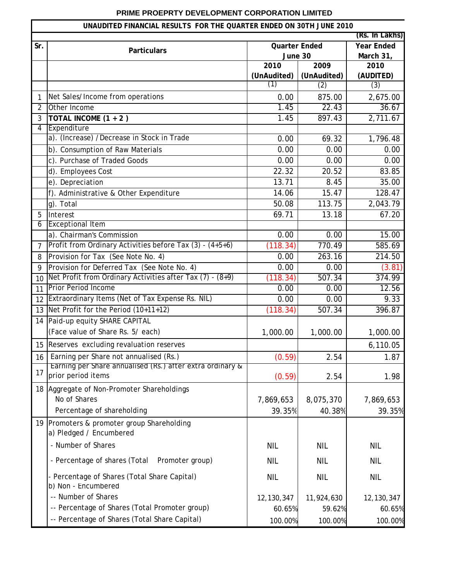## **PRIME PROEPRTY DEVELOPMENT CORPORATION LIMITED**

## **UNAUDITED FINANCIAL RESULTS FOR THE QUARTER ENDED ON 30TH JUNE 2010**

| UNAUDITED FINANCIAL RESULTS FOR THE QUARTER ENDED ON 30TH JUNE 2010 |                                                                       |                      |                     |                   |  |  |
|---------------------------------------------------------------------|-----------------------------------------------------------------------|----------------------|---------------------|-------------------|--|--|
|                                                                     | (Rs. In Lakhs)                                                        |                      |                     |                   |  |  |
| Sr.                                                                 | <b>Particulars</b>                                                    | <b>Quarter Ended</b> |                     | <b>Year Ended</b> |  |  |
|                                                                     |                                                                       | June 30              |                     | March 31,         |  |  |
|                                                                     |                                                                       | 2010<br>(UnAudited)  | 2009<br>(UnAudited) | 2010<br>(AUDITED) |  |  |
|                                                                     |                                                                       | (1)                  | (2)                 | (3)               |  |  |
| 1                                                                   | Net Sales/Income from operations                                      | 0.00                 | 875.00              | 2,675.00          |  |  |
| $\overline{2}$                                                      | Other Income                                                          | 1.45                 | 22.43               | 36.67             |  |  |
| 3                                                                   | TOTAL INCOME (1 + 2)                                                  | 1.45                 | 897.43              | 2,711.67          |  |  |
| 4                                                                   | Expenditure                                                           |                      |                     |                   |  |  |
|                                                                     | a). (Increase) /Decrease in Stock in Trade                            | 0.00                 | 69.32               | 1,796.48          |  |  |
|                                                                     | b). Consumption of Raw Materials                                      | 0.00                 | 0.00                | 0.00              |  |  |
|                                                                     | c). Purchase of Traded Goods                                          | 0.00                 | 0.00                | 0.00              |  |  |
|                                                                     | d). Employees Cost                                                    | 22.32                | 20.52               | 83.85             |  |  |
|                                                                     | e). Depreciation                                                      | 13.71                | 8.45                | 35.00             |  |  |
|                                                                     | f). Administrative & Other Expenditure                                | 14.06                | 15.47               | 128.47            |  |  |
|                                                                     | g). Total                                                             | 50.08                | 113.75              | 2,043.79          |  |  |
| 5                                                                   | Interest                                                              | 69.71                | 13.18               | 67.20             |  |  |
| 6                                                                   | <b>Exceptional Item</b>                                               |                      |                     |                   |  |  |
|                                                                     | a). Chairman's Commission                                             | 0.00                 | 0.00                | 15.00             |  |  |
| $\overline{7}$                                                      | Profit from Ordinary Activities before Tax (3) - (4+5+6)              | (118.34)             | 770.49              | 585.69            |  |  |
| 8                                                                   | Provision for Tax (See Note No. 4)                                    | 0.00                 | 263.16              | 214.50            |  |  |
| 9                                                                   | Provision for Deferred Tax (See Note No. 4)                           | 0.00                 | 0.00                | (3.81)            |  |  |
| 10                                                                  | Net Profit from Ordinary Activities after Tax $(7)$ - $(8+9)$         | (118.34)             | 507.34              | 374.99            |  |  |
| 11                                                                  | <b>Prior Period Income</b>                                            | 0.00                 | 0.00                | 12.56             |  |  |
| 12                                                                  | Extraordinary Items (Net of Tax Expense Rs. NIL)                      | 0.00                 | 0.00                | 9.33              |  |  |
| 13                                                                  | Net Profit for the Period (10+11+12)                                  | (118.34)             | 507.34              | 396.87            |  |  |
| 14                                                                  | Paid-up equity SHARE CAPITAL                                          |                      |                     |                   |  |  |
|                                                                     | (Face value of Share Rs. 5/ each)                                     | 1,000.00             | 1,000.00            | 1,000.00          |  |  |
|                                                                     | 15 Reserves excluding revaluation reserves                            |                      |                     | 6,110.05          |  |  |
| 16                                                                  | Earning per Share not annualised (Rs.)                                | (0.59)               | 2.54                | 1.87              |  |  |
|                                                                     | Earning per Share annualised (Rs.) after extra ordinary &             |                      |                     |                   |  |  |
| 17                                                                  | prior period items                                                    | (0.59)               | 2.54                | 1.98              |  |  |
|                                                                     | 18 Aggregate of Non-Promoter Shareholdings                            |                      |                     |                   |  |  |
|                                                                     | No of Shares                                                          | 7,869,653            | 8,075,370           | 7,869,653         |  |  |
|                                                                     | Percentage of shareholding                                            | 39.35%               | 40.38%              | 39.35%            |  |  |
|                                                                     | 19 Promoters & promoter group Shareholding<br>a) Pledged / Encumbered |                      |                     |                   |  |  |
|                                                                     | - Number of Shares                                                    | <b>NIL</b>           | <b>NIL</b>          | <b>NIL</b>        |  |  |
|                                                                     |                                                                       |                      |                     |                   |  |  |
|                                                                     | - Percentage of shares (Total<br>Promoter group)                      | <b>NIL</b>           | <b>NIL</b>          | <b>NIL</b>        |  |  |
|                                                                     | - Percentage of Shares (Total Share Capital)<br>b) Non - Encumbered   | <b>NIL</b>           | <b>NIL</b>          | <b>NIL</b>        |  |  |
|                                                                     | -- Number of Shares                                                   | 12, 130, 347         | 11,924,630          | 12, 130, 347      |  |  |
|                                                                     | -- Percentage of Shares (Total Promoter group)                        | 60.65%               | 59.62%              | 60.65%            |  |  |
|                                                                     | -- Percentage of Shares (Total Share Capital)                         | 100.00%              | 100.00%             | 100.00%           |  |  |